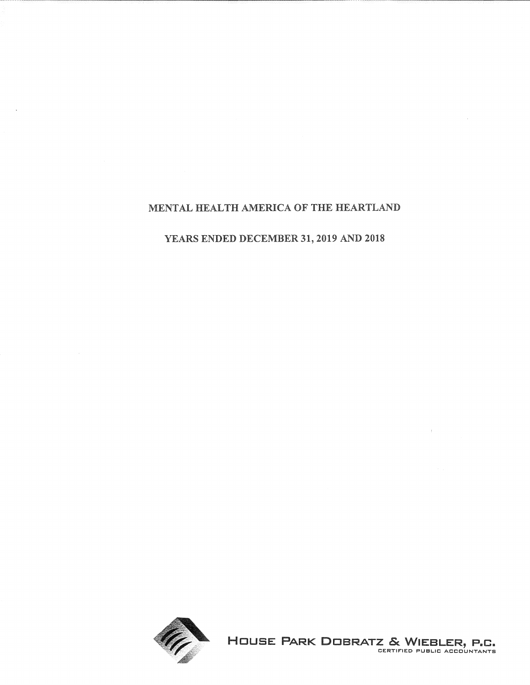## YEARS ENDED DECEMBER 31, 2019 AND 2018



 $\sim$   $t$  .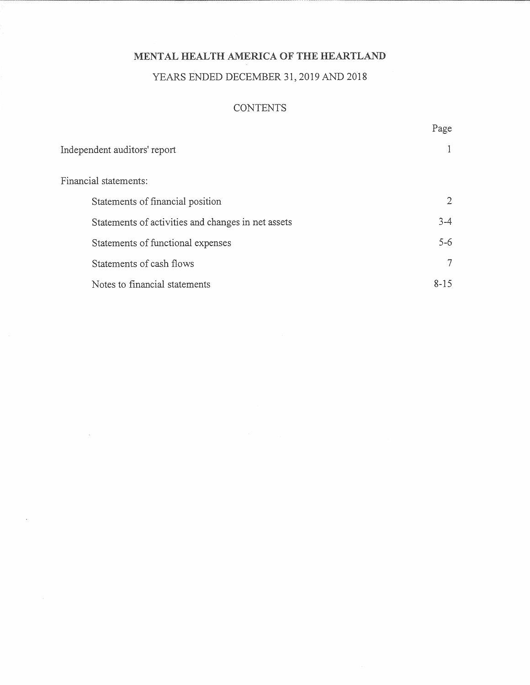## YEARS ENDED DECEMBER 31, 2019 AND 2018

## **CONTENTS**

Page

| Independent auditors' report                       |                             |
|----------------------------------------------------|-----------------------------|
| Financial statements:                              |                             |
| Statements of financial position                   | $\mathcal{D}_{\mathcal{L}}$ |
| Statements of activities and changes in net assets | $3 - 4$                     |
| Statements of functional expenses                  | $5-6$                       |
| Statements of cash flows                           | 7                           |
| Notes to financial statements                      | $8 - 15$                    |

 $\sim$ 

 $\lambda$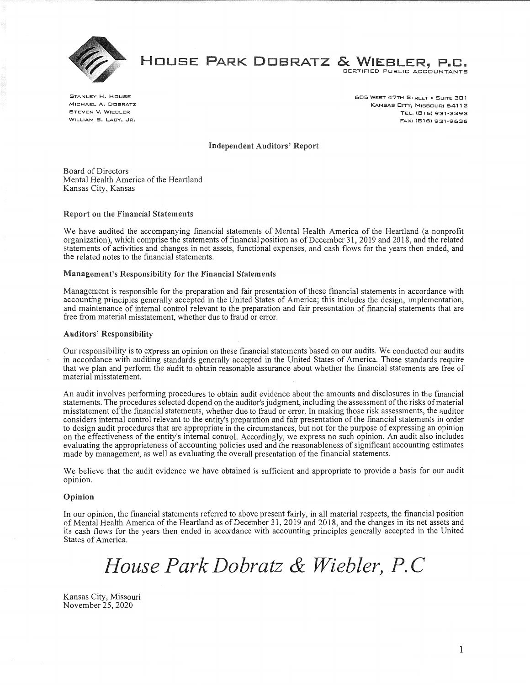

#### HOUSE PARK DOBRATZ & WIEBLER, P.C. CERTIFIED PUBLIC ACCOUNTANTS

**STANLEY H. HOUSE MICHAEL A. DOBRATZ STEVEN V. WIESLER WILLIAM S. LACY, .JR,** 

**605 WEST 47TH STREET e SUITE 301**  KANSAS CITY, MISSOURI 6411 2 TEL, (B16) 931-3393 FAX: (816) 931-9636

Independent Auditors' Report

Board of Directors Mental Health America of the Heartland Kansas City, Kansas

#### Report on the Financial Statements

We have audited the accompanying financial statements of Mental Health America of the Heartland (a nonprofit organization), which comprise the statements of financial position as of December 31, 2019 and 2018, and the related statements of activities and changes in net assets, functional expenses, and cash flows for the years then ended, and the related notes to the financial statements.

#### Management's Responsibility for the Financial Statements

Management is responsible for the preparation and fair presentation of these financial statements in accordance with accounting principles generally accepted in the United States of America; this includes the design, implementation, and maintenance of internal control relevant to the preparation and fair presentation of financial statements that are free from material misstatement, whether due to fraud or error.

#### Auditors' Responsibility

Our responsibility is to express an opinion on these financial statements based on our audits. We conducted our audits in accordance with auditing standards generally accepted in the United States of America. Those standards require that we plan and perform the audit to obtain reasonable assurance about whether the financial statements are free of material misstatement.

An audit involves performing procedures to obtain audit evidence about the amounts and disclosures in the financial statements. The procedures selected depend on the auditor's judgment, including the assessment of the risks of material misstatement of the financial statements, whether due to fraud or error. In making those risk assessments, the auditor considers internal control relevant to the entity's preparation and fair presentation of the financial statements in order to design audit procedures that are appropriate in the circumstances, but not for the purpose of expressing an opinion on the effectiveness of the entity's internal control. Accordingly, we express no such opinion. An audit also includes evaluating the appropriateness of accounting policies used and the reasonableness of significant accounting estimates made by management, as well as evaluating the overall presentation of the financial statements.

We believe that the audit evidence we have obtained is sufficient and appropriate to provide a basis for our audit opinion.

#### **Opinion**

In our opinion, the fmancial statements referred to above present fairly, in all material respects, the financial position of Mental Health America of the Heartland as of December 31, 2019 and 2018, and the changes in its net assets and its cash flows for the years then ended in accordance with accounting principles generally accepted in the United States of America.

# *House Park Dobratz & Wiebler, P.* C

Kansas City, Missouri November 25, 2020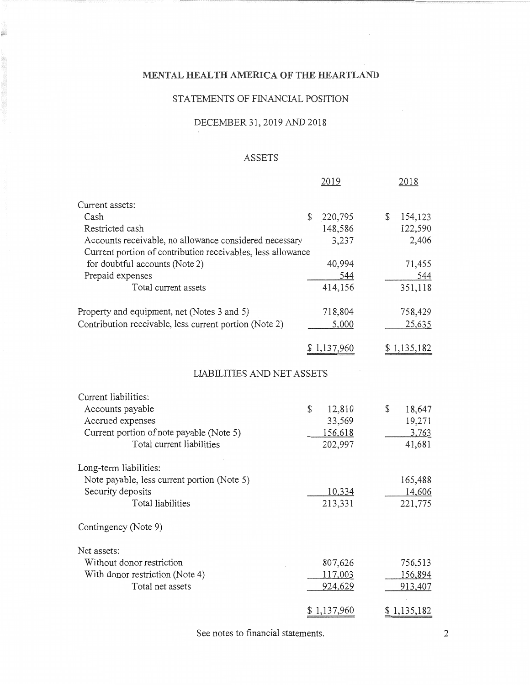## STATEMENTS OF FINANCIAL POSITION

## DECEMBER 31, 2019 AND 2018

## ASSETS

|                                                             | 2019          | 2018          |
|-------------------------------------------------------------|---------------|---------------|
| Current assets:                                             |               |               |
| Cash                                                        | 220,795<br>\$ | 154,123<br>\$ |
| Restricted cash                                             | 148,586       | 122,590       |
| Accounts receivable, no allowance considered necessary      | 3,237         | 2,406         |
| Current portion of contribution receivables, less allowance |               |               |
| for doubtful accounts (Note 2)                              | 40,994        | 71,455        |
| Prepaid expenses                                            | 544           | 544           |
| Total current assets                                        | 414,156       | 351,118       |
| Property and equipment, net (Notes 3 and 5)                 | 718,804       | 758,429       |
| Contribution receivable, less current portion (Note 2)      | 5,000         | 25,635        |
|                                                             | \$1,137,960   | \$1,135,182   |
| <b>LIABILITIES AND NET ASSETS</b>                           |               |               |
| Current liabilities:                                        |               |               |
| Accounts payable                                            | \$<br>12,810  | 18,647<br>\$  |
| Accrued expenses                                            | 33,569        | 19,271        |
| Current portion of note payable (Note 5)                    | 156,618       | 3,763         |
| Total current liabilities                                   | 202,997       | 41,681        |
| Long-term liabilities:                                      |               |               |
| Note payable, less current portion (Note 5)                 |               | 165,488       |
| Security deposits                                           | 10,334        | 14,606        |
| Total liabilities                                           | 213,331       | 221,775       |
| Contingency (Note 9)                                        |               |               |
| Net assets:                                                 |               |               |
| Without donor restriction                                   | 807,626       | 756,513       |
| With donor restriction (Note 4)                             | 117,003       | 156,894       |
| Total net assets                                            | 924,629       | 913,407       |
|                                                             | \$1,137,960   | \$1,135,182   |

See notes to financial statements.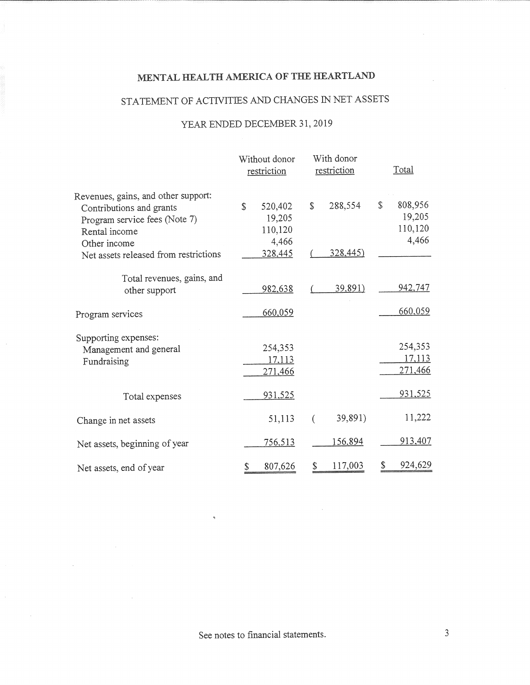----~~-~--------------------------~

## STATEMENT OF ACTIVITIES AND CHANGES IN NET ASSETS

## YEAR ENDED DECEMBER 31, 2019

|                                                                                                                                                                            |    | Without donor<br>restriction                     | With donor<br>restriction |    | Total                                 |
|----------------------------------------------------------------------------------------------------------------------------------------------------------------------------|----|--------------------------------------------------|---------------------------|----|---------------------------------------|
| Revenues, gains, and other support:<br>Contributions and grants<br>Program service fees (Note 7)<br>Rental income<br>Other income<br>Net assets released from restrictions |    | 520,402<br>19,205<br>110,120<br>4,466<br>328,445 | \$<br>288,554<br>328,445) | \$ | 808,956<br>19,205<br>110,120<br>4,466 |
| Total revenues, gains, and<br>other support                                                                                                                                |    | 982,638                                          | 39,891)                   |    | 942,747                               |
| Program services                                                                                                                                                           |    | 660,059                                          |                           |    | 660,059                               |
| Supporting expenses:<br>Management and general<br>Fundraising                                                                                                              |    | 254,353<br>17,113<br>271,466                     |                           |    | 254,353<br>17,113<br>271,466          |
| Total expenses                                                                                                                                                             |    | 931,525                                          |                           |    | 931,525                               |
| Change in net assets                                                                                                                                                       |    | 51,113                                           | 39,891)                   |    | 11,222                                |
| Net assets, beginning of year                                                                                                                                              |    | 756,513                                          | 156,894                   |    | 913,407                               |
| Net assets, end of year                                                                                                                                                    | \$ | 807,626                                          | \$<br>117,003             | S  | 924,629                               |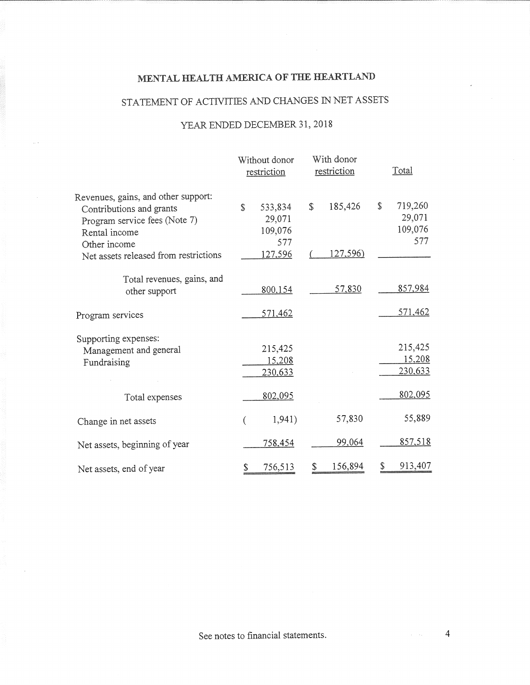## STATEMENT OF ACTIVITIES AND CHANGES IN NET ASSETS

## YEAR ENDED DECEMBER 31, 2018

|                                                                                                                                                                            | Without donor<br>restriction                         | With donor<br>restriction | Total                                     |
|----------------------------------------------------------------------------------------------------------------------------------------------------------------------------|------------------------------------------------------|---------------------------|-------------------------------------------|
| Revenues, gains, and other support:<br>Contributions and grants<br>Program service fees (Note 7)<br>Rental income<br>Other income<br>Net assets released from restrictions | \$<br>533,834<br>29,071<br>109,076<br>577<br>127,596 | \$<br>185,426<br>127,596) | \$<br>719,260<br>29,071<br>109,076<br>577 |
| Total revenues, gains, and<br>other support                                                                                                                                | 800,154                                              | 57,830                    | 857,984                                   |
| Program services                                                                                                                                                           | 571,462                                              |                           | 571,462                                   |
| Supporting expenses:<br>Management and general<br>Fundraising                                                                                                              | 215,425<br>15,208<br>230,633                         |                           | 215,425<br>15,208<br>230,633              |
| Total expenses                                                                                                                                                             | 802,095                                              |                           | 802,095                                   |
| Change in net assets                                                                                                                                                       | 1,941)                                               | 57,830                    | 55,889                                    |
| Net assets, beginning of year                                                                                                                                              | 758,454                                              | 99,064                    | 857,518                                   |
| Net assets, end of year                                                                                                                                                    | \$<br>756,513                                        | \$<br>156,894             | \$<br>913,407                             |

See notes to financial statements.

4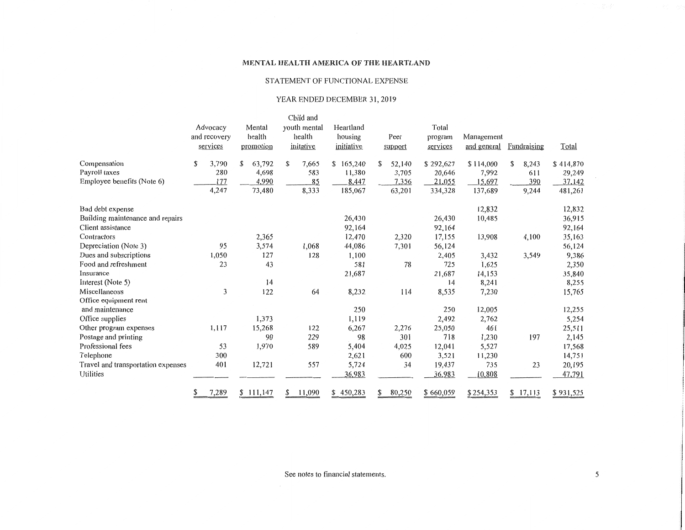#### STATEMENT OF FUNCTIONAL EXPENSE

#### YEAR ENDED DECEMBER 31, 2019

|                                    | Advocacy<br>and recovery<br>services | Mental<br>health<br>promotion | Child and<br>youth mental<br>health<br>initative | Heartland<br>housing<br>initiative | Peer<br>support | Total<br>program<br>services | Management<br>and general | Fundraising  | Total             |
|------------------------------------|--------------------------------------|-------------------------------|--------------------------------------------------|------------------------------------|-----------------|------------------------------|---------------------------|--------------|-------------------|
| Compensation                       | 3,790<br>\$                          | 63,792<br>\$                  | \$<br>7,665                                      | \$<br>165,240                      | 52,140<br>\$    | \$292,627                    | \$114,000                 | \$<br>8,243  | \$414,870         |
| Payroll taxes                      | 280                                  | 4,698                         | 583                                              | 11,380                             | 3,705           | 20,646                       | 7,992                     | 611          | 29,249            |
| Employee benefits (Note 6)         | 177<br>4,247                         | 4,990<br>73,480               | 85<br>8,333                                      | 8,447<br>185,067                   | 7,356<br>63,201 | 21,055<br>334,328            | 15,697<br>137,689         | 390<br>9,244 | 37,142<br>481,261 |
| Bad debt expense                   |                                      |                               |                                                  |                                    |                 |                              | 12,832                    |              | 12,832            |
| Building maintenance and repairs   |                                      |                               |                                                  | 26,430                             |                 | 26,430                       | 10,485                    |              | 36,915            |
| Client assistance                  |                                      |                               |                                                  | 92,164                             |                 | 92,164                       |                           |              | 92,164            |
| Contractors                        |                                      | 2,365                         |                                                  | 12,470                             | 2,320           | 17,155                       | 13,908                    | 4,100        | 35,163            |
| Depreciation (Note 3)              | 95                                   | 3,574                         | 1,068                                            | 44,086                             | 7,301           | 56,124                       |                           |              | 56,124            |
| Dues and subscriptions             | 1,050                                | 127                           | 128                                              | 1,100                              |                 | 2,405                        | 3,432                     | 3,549        | 9,386             |
| Food and refreshment               | 23                                   | 43                            |                                                  | 581                                | 78              | 725                          | 1,625                     |              | 2,350             |
| Insurance                          |                                      |                               |                                                  | 21,687                             |                 | 21,687                       | 14,153                    |              | 35,840            |
| Interest (Note 5)                  |                                      | 14                            |                                                  |                                    |                 | 14                           | 8,241                     |              | 8,255             |
| Miscellaneous                      | 3                                    | 122                           | 64                                               | 8,232                              | 114             | 8,535                        | 7,230                     |              | 15,765            |
| Office equipment rent              |                                      |                               |                                                  |                                    |                 |                              |                           |              |                   |
| and maintenance                    |                                      |                               |                                                  | 250                                |                 | 250                          | 12,005                    |              | 12,255            |
| Office supplies                    |                                      | 1,373                         |                                                  | 1,119                              |                 | 2,492                        | 2,762                     |              | 5,254             |
| Other program expenses             | 1,117                                | 15,268                        | 122                                              | 6,267                              | 2,276           | 25,050                       | 461                       |              | 25,511            |
| Postage and printing               |                                      | 90                            | 229                                              | 98                                 | 301             | 718                          | 1,230                     | 197          | 2,145             |
| Professional fees                  | 53                                   | 1,970                         | 589                                              | 5,404                              | 4,025           | 12,041                       | 5,527                     |              | 17,568            |
| Telephone                          | 300                                  |                               |                                                  | 2,621                              | 600             | 3,521                        | 11,230                    |              | 14,751            |
| Travel and transportation expenses | 401                                  | 12,721                        | 557                                              | 5,724                              | 34              | 19,437                       | 735                       | 23           | 20,195            |
| Utilities                          |                                      |                               |                                                  | 36,983                             |                 | 36,983                       | 10,808                    |              | 47,791            |
|                                    | \$<br>7,289                          | 111,147<br>\$                 | 11,090<br>\$                                     | 450,283<br>\$                      | 80,250          | \$660,059                    | \$254,353                 | \$17,113     | \$931,525         |

See notes to financial statements. 5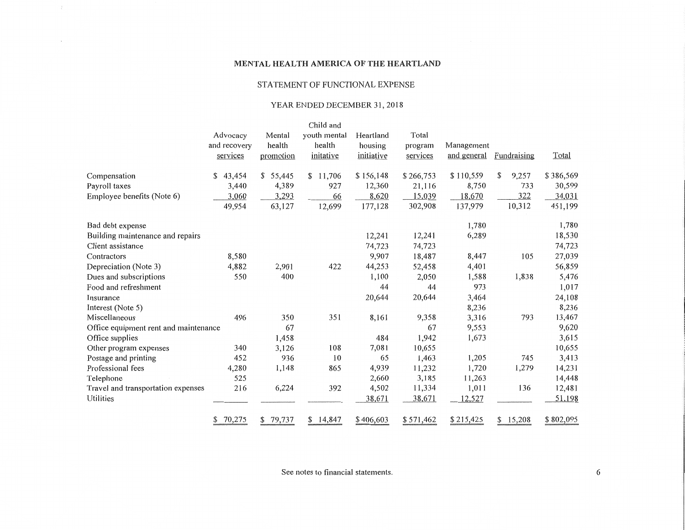$\mathcal{L}^{\pm}$ 

 $\cdot$ 

#### STATEMENT OF FUNCTIONAL EXPENSE

### YEAR ENDED DECEMBER 31, 2018

|                                       |              |              | Child and    |            |           |             |             |           |
|---------------------------------------|--------------|--------------|--------------|------------|-----------|-------------|-------------|-----------|
|                                       | Advocacy     | Mental       | youth mental | Heartland  | Total     |             |             |           |
|                                       | and recovery | health       | health       | housing    | program   | Management  |             |           |
|                                       | services     | promotion    | initative    | initiative | services  | and general | Fundraising | Total     |
| Compensation                          | \$<br>43,454 | \$55,445     | \$11,706     | \$156,148  | \$266,753 | \$110,559   | \$<br>9,257 | \$386,569 |
| Payroll taxes                         | 3,440        | 4,389        | 927          | 12,360     | 21,116    | 8,750       | 733         | 30,599    |
| Employee benefits (Note 6)            | 3,060        | 3,293        | 66           | 8,620      | 15,039    | 18,670      | 322         | 34,031    |
|                                       | 49,954       | 63,127       | 12,699       | 177,128    | 302,908   | 137,979     | 10,312      | 451,199   |
| Bad debt expense                      |              |              |              |            |           | 1,780       |             | 1,780     |
| Building maintenance and repairs      |              |              |              | 12,241     | 12,241    | 6,289       |             | 18,530    |
| Client assistance                     |              |              |              | 74,723     | 74,723    |             |             | 74,723    |
| Contractors                           | 8,580        |              |              | 9,907      | 18,487    | 8,447       | 105         | 27,039    |
| Depreciation (Note 3)                 | 4,882        | 2,901        | 422          | 44,253     | 52,458    | 4,401       |             | 56,859    |
| Dues and subscriptions                | 550          | 400          |              | 1,100      | 2,050     | 1,588       | 1,838       | 5,476     |
| Food and refreshment                  |              |              |              | 44         | 44        | 973         |             | 1,017     |
| Insurance                             |              |              |              | 20,644     | 20,644    | 3,464       |             | 24,108    |
| Interest (Note 5)                     |              |              |              |            |           | 8,236       |             | 8,236     |
| Miscellaneous                         | 496          | 350          | 351          | 8,161      | 9,358     | 3,316       | 793         | 13,467    |
| Office equipment rent and maintenance |              | 67           |              |            | 67        | 9,553       |             | 9,620     |
| Office supplies                       |              | 1,458        |              | 484        | 1,942     | 1,673       |             | 3,615     |
| Other program expenses                | 340          | 3,126        | 108          | 7,081      | 10,655    |             |             | 10,655    |
| Postage and printing                  | 452          | 936          | 10           | 65         | 1,463     | 1,205       | 745         | 3,413     |
| Professional fees                     | 4,280        | 1,148        | 865          | 4,939      | 11,232    | 1,720       | 1,279       | 14,231    |
| Telephone                             | 525          |              |              | 2,660      | 3,185     | 11,263      |             | 14,448    |
| Travel and transportation expenses    | 216          | 6,224        | 392          | 4,502      | 11,334    | 1,011       | 136         | 12,481    |
| Utilities                             |              |              |              | 38,671     | 38,671    | 12,527      |             | 51,198    |
|                                       | \$<br>70,275 | 79,737<br>\$ | 14,847<br>\$ | \$406,603  | \$571,462 | \$215,425   | \$15,208    | \$802,095 |

See notes to financial statements. 6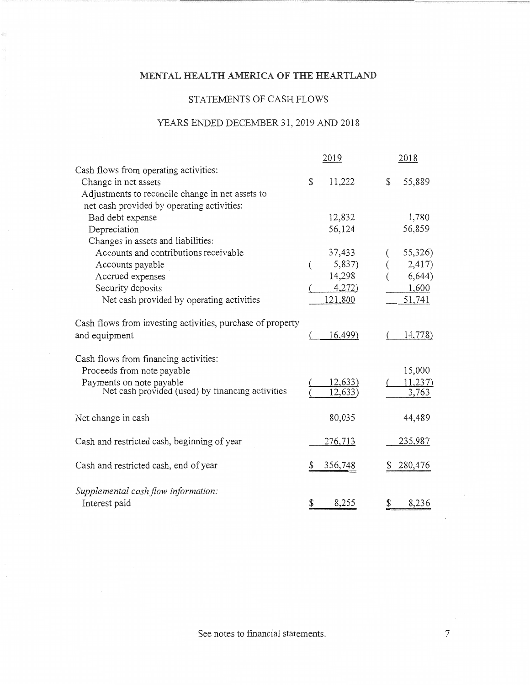## STATEMENTS OF CASH FLOWS

## YEARS ENDED DECEMBER 31, 2019 AND 2018

|                                                            | 2019          | 2018         |  |
|------------------------------------------------------------|---------------|--------------|--|
| Cash flows from operating activities:                      |               |              |  |
| Change in net assets                                       | \$<br>11,222  | \$<br>55,889 |  |
| Adjustments to reconcile change in net assets to           |               |              |  |
| net cash provided by operating activities:                 |               |              |  |
| Bad debt expense                                           | 12,832        | 1,780        |  |
| Depreciation                                               | 56,124        | 56,859       |  |
| Changes in assets and liabilities:                         |               |              |  |
| Accounts and contributions receivable                      | 37,433        | 55,326)      |  |
| Accounts payable                                           | 5,837         | 2,417        |  |
| Accrued expenses                                           | 14,298        | 6,644)       |  |
| Security deposits                                          | 4,272)        | 1,600        |  |
| Net cash provided by operating activities                  | 121,800       | 51,741       |  |
| Cash flows from investing activities, purchase of property |               |              |  |
| and equipment                                              | 16,499)       | 14,778)      |  |
| Cash flows from financing activities:                      |               |              |  |
| Proceeds from note payable                                 |               | 15,000       |  |
| Payments on note payable                                   | 12,633)       | 11,237)      |  |
| Net cash provided (used) by financing activities           | 12,633)       | 3,763        |  |
| Net change in cash                                         | 80,035        | 44,489       |  |
| Cash and restricted cash, beginning of year                | 276,713       | 235,987      |  |
| Cash and restricted cash, end of year                      | \$<br>356,748 | 280,476      |  |
| Supplemental cash flow information:                        |               |              |  |
| Interest paid                                              | \$<br>8,255   | \$<br>8,236  |  |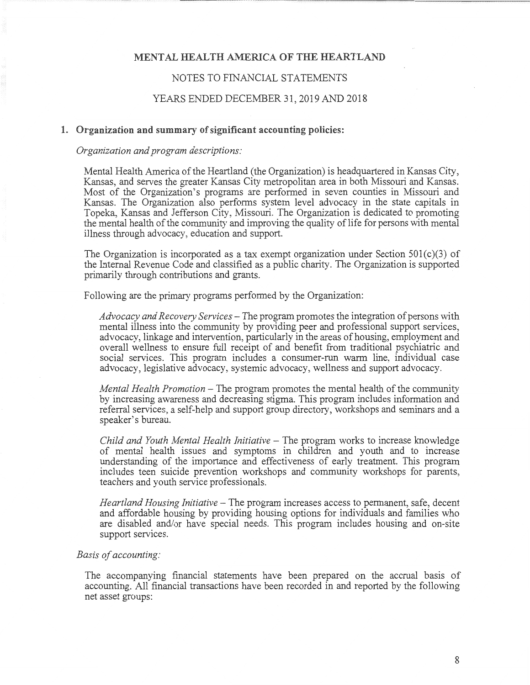#### NOTES TO FINANCIAL STATEMENTS

#### YEARS ENDED DECEMBER 31, 2019 AND 2018

#### 1. Organization and summary of significant accounting policies:

#### *Organization and program descriptions:*

Mental Health America of the Heartland (the Organization) is headquartered in Kansas City, Kansas, and serves the greater Kansas City metropolitan area in both Missouri and Kansas. Most of the Organization's programs are performed in seven counties in Missouri and Kansas. The Organization also performs system level advocacy in the state capitals in Topeka, Kansas and Jefferson City, Missouri. The Organization is dedicated to promoting the mental health of the community and improving the quality of life for persons with mental illness through advocacy, education and support.

The Organization is incorporated as a tax exempt organization under Section  $501(c)(3)$  of the Internal Revenue Code and classified as a public charity. The Organization is supported primarily through contributions and grants.

Following are the primary programs performed by the Organization:

*Advocacy and Recove1y Services* - The program promotes the integration of persons with mental illness into the community by providing peer and professional support services, advocacy, linkage and intervention, particularly in the areas of housing, employment and overall wellness to ensure full receipt of and benefit from traditional psychiatric and social services. This program includes a consumer-run warm line, individual case advocacy, legislative advocacy, systemic advocacy, wellness and support advocacy.

*Mental Health Promotion* - The program promotes the mental health of the community by increasing awareness and decreasing stigma. This program includes information and referral services, a self-help and support group directory, workshops and seminars and a speaker's bureau.

*Child and Youth Mental Health Initiative* - The program works to increase knowledge of mental health issues and symptoms in children and youth and to increase understanding of the importance and effectiveness of early treatment. This program includes teen suicide prevention workshops and community workshops for parents, teachers and youth service professionals.

*Heartland Housing Initiative* – The program increases access to permanent, safe, decent and affordable housing by providing housing options for individuals and families who are disabled and/or have special needs. This program includes housing and on-site support services.

#### *Basis of accounting:*

The accompanying financial statements have been prepared on the accrual basis of accounting. All financial transactions have been recorded in and reported by the following net asset groups: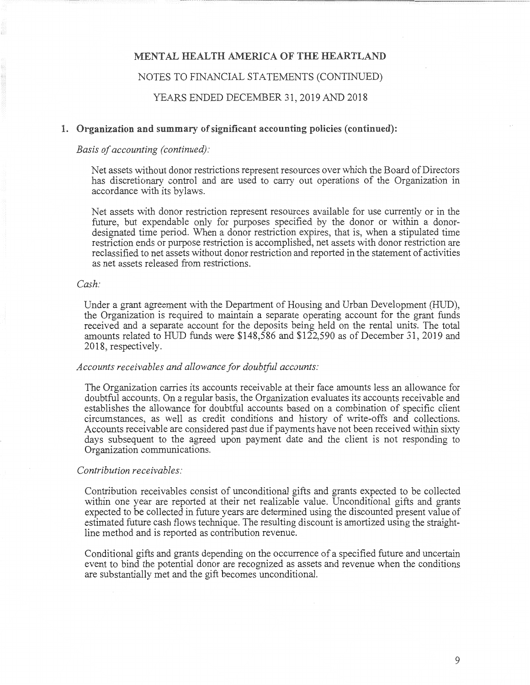#### NOTES TO FINANCIAL STATEMENTS (CONTINUED)

#### YEARS ENDED DECEMBER 31, 2019 AND 2018

#### 1. Organization and summary of significant accounting policies (continued):

#### *Basis of accounting (continued):*

Net assets without donor restrictions represent resources over which the Board of Directors has discretionary control and are used to carry out operations of the Organization in accordance with its bylaws.

Net assets with donor restriction represent resources available for use currently or in the future, but expendable only for purposes specified by the donor or within a donordesignated time period. When a donor restriction expires, that is, when a stipulated time restriction ends or purpose restriction is accomplished, net assets with donor restriction are reclassified to net assets without donor restriction and reported in the statement of activities as net assets released from restrictions.

#### *Cash:*

Under a grant agreement with the Department of Housing and Urban Development (HUD), the Organization is required to maintain a separate operating account for the grant funds received and a separate account for the deposits being held on the rental units. The total amounts related to HUD funds were \$148,586 and \$122,590 as of December 31, 2019 and 2018, respectively.

#### *Accounts receivables and allowance for doubtful accounts:*

The Organization carries its accounts receivable at their face amounts less an allowance for doubtful accounts. On a regular basis, the Organization evaluates its accounts receivable and establishes the allowance for doubtful accounts based on a combination of specific client circumstances, as well as credit conditions and history of write-offs and collections. Accounts receivable are considered past due if payments have not been received within sixty days subsequent to the agreed upon payment date and the client is not responding to Organization communications.

#### *Contribution receivables:*

Contribution receivables consist of unconditional gifts and grants expected to be collected within one year are reported at their net realizable value. Unconditional gifts and grants expected to be collected in future years are determined using the discounted present value of estimated future cash flows technique. The resulting discount is amortized using the straightline method and is reported as contribution revenue.

Conditional gifts and grants depending on the occurrence of a specified future and uncertain event to bind the potential donor are recognized as assets and revenue when the conditions are substantially met and the gift becomes unconditional.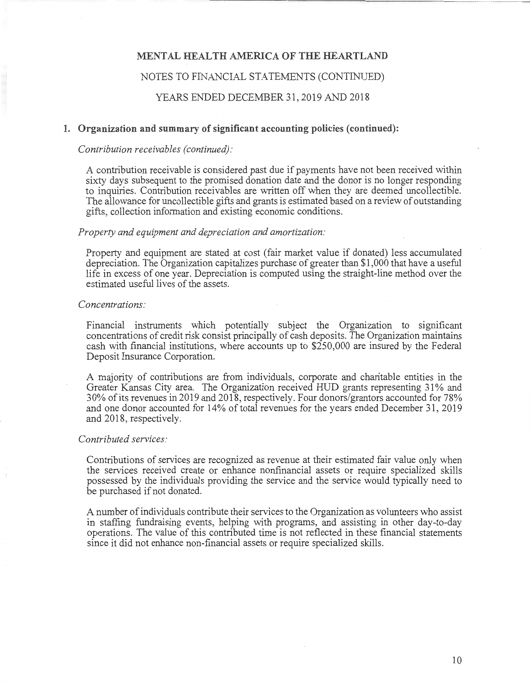#### NOTES TO FINANCIAL STATEMENTS (CONTINUED)

#### YEARS ENDED DECEMBER 31, 2019 AND 2018

#### 1. Organization and summary of significant accounting policies ( continued):

#### *Contribution receivables (continued):*

A contribution receivable is considered past due if payments have not been received within sixty days subsequent to the promised donation date and the donor is no longer responding to inquiries. Contribution receivables are written off when they are deemed uncollectible. The allowance for uncollectible gifts and grants is estimated based on a review of outstanding gifts, collection information and existing economic conditions.

#### *Property and equipment and depreciation and amortization:*

Property and equipment are stated at cost (fair market value if donated) less accumulated depreciation. The Organization capitalizes purchase of greater than \$1,000 that have a useful life in excess of one year. Depreciation is computed using the straight-line method over the estimated useful lives of the assets.

#### *Concentrations:*

Financial instruments which potentially subject the Organization to significant concentrations of credit risk consist principally of cash deposits. The Organization maintains cash with financial institutions, where accounts up to \$250,000 are insured by the Federal Deposit Insurance Corporation.

A majority of contributions are from individuals, corporate and charitable entities in the Greater Kansas City area. The Organization received HUD grants representing 31 % and 30% of its revenues in 2019 and 2018, respectively. Four donors/grantors accounted for 78% and one donor accounted for 14% of total revenues for the years ended December 31, 2019 and 2018, respectively.

#### *Contributed services:*

Contributions of services are recognized as revenue at their estimated fair value only when the services received create or enhance nonfinancial assets or require specialized skills possessed by the individuals providing the service and the service would typically need to be purchased if not donated.

A number of individuals contribute their services to the Organization as volunteers who assist in staffing fundraising events, helping with programs, and assisting in other day-to-day operations. The value of this contributed time is not reflected in these financial statements since it did not enhance non-financial assets or require specialized skills.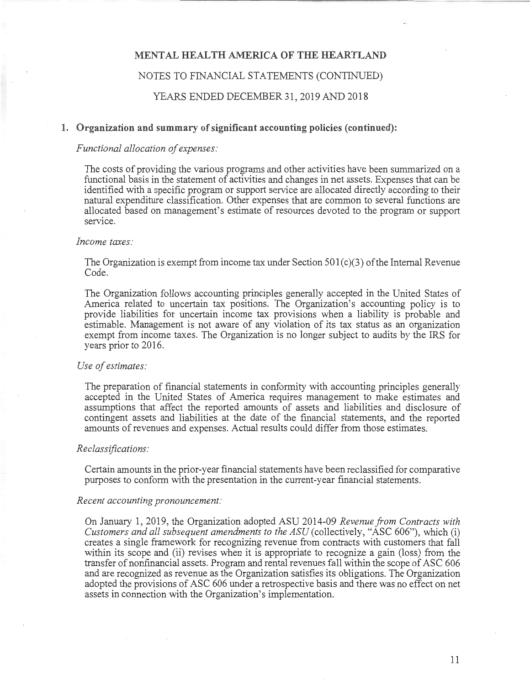## NOTES TO FINANCIAL STATEMENTS (CONTINUED)

#### YEARS ENDED DECEMBER 31, 2019 AND 2018

#### 1. Organization and summary of significant accounting policies (continued):

#### *Functional allocation of expenses:*

The costs of providing the various programs and other activities have been summarized on a functional basis in the statement of activities and changes in net assets. Expenses that can be identified with a specific program or support service are allocated directly according to their natural expenditure classification. Other expenses that are common to several functions are allocated based on management's estimate of resources devoted to the program or support service.

#### *Income taxes:*

The Organization is exempt from income tax under Section  $501(c)(3)$  of the Internal Revenue Code.

The Organization follows accounting principles generally accepted in the United States of America related to uncertain tax positions. The Organization's accounting policy is to provide liabilities for uncertain income tax provisions when a liability is probable and estimable. Management is not aware of any violation of its tax status as an organization exempt from income taxes. The Organization is no longer subject to audits by the IRS for years prior to 2016.

#### *Use of estimates:*

The preparation of financial statements in conformity with accounting principles generally accepted in the United States of America requires management to make estimates and assumptions that affect the reported amounts of assets and liabilities and disclosure of contingent assets and liabilities at the date of the financial statements, and the reported amounts of revenues and expenses. Actual results could differ from those estimates.

#### *Reclassifications:*

Certain amounts in the prior-year financial statements have been reclassified for comparative purposes to conform with the presentation in the current-year financial statements.

#### *Recent accounting pronouncement:*

On January 1, 2019, the Organization adopted ASU 2014-09 *Revenue from Contracts with Customers and all subsequent amendments to the ASU* (collectively, "ASC 606"), which (i) creates a single framework for recognizing revenue from contracts with customers that fall within its scope and (ii) revises when it is appropriate to recognize a gain (loss) from the transfer of nonfinancial assets. Program and rental revenues fall within the scope of ASC 606 and are recognized as revenue as the Organization satisfies its obligations. The Organization adopted the provisions of ASC 606 under a retrospective basis and there was no effect on net assets in connection with the Organization's implementation.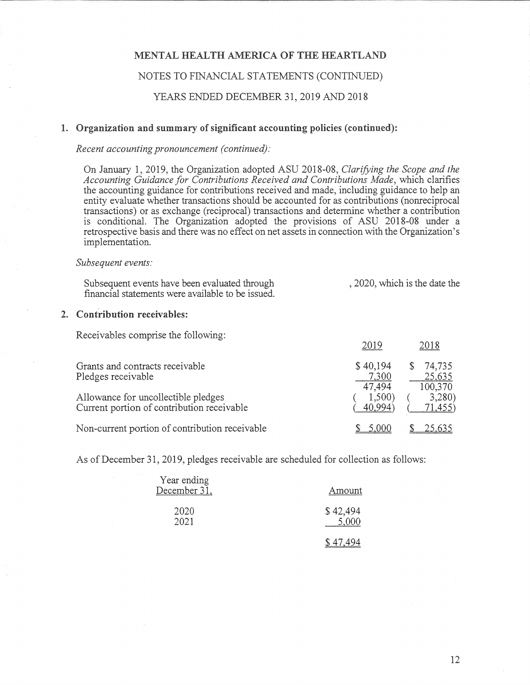#### NOTES TO FINANCIAL STATEMENTS (CONTINUED)

#### YEARS ENDED DECEMBER 31, 2019 AND 2018

#### 1. Organization and summary of significant accounting policies ( continued):

#### *Recent accounting pronouncement (continued):*

On January 1, 2019, the Organization adopted ASU 2018-08, *Clarifying the Scope and the Accounting Guidance for Contributions Received and Contributions Made,* which clarifies the accounting guidance for contributions received and made, including guidance to help an entity evaluate whether transactions should be accounted for as contributions (nonreciprocal transactions) or as exchange (reciprocal) transactions and determine whether a contribution is conditional. The Organization adopted the provisions of ASU 2018-08 under a retrospective basis and there was no effect on net assets in connection with the Organization's implementation.

#### *Subsequent events:*

Subsequent events have been evaluated through financial statements were available to be issued. , 2020, which is the date the

#### 2. Contribution receivables:

Receivables comprise the following:

|                                                                                   | 2019                        | 2018                              |
|-----------------------------------------------------------------------------------|-----------------------------|-----------------------------------|
| Grants and contracts receivable<br>Pledges receivable                             | \$40,194<br>7,300<br>47,494 | 74,735<br>S.<br>25.635<br>100,370 |
| Allowance for uncollectible pledges<br>Current portion of contribution receivable | 1,500)<br>40.994            | 3,280<br>71,455)                  |
| Non-current portion of contribution receivable                                    | 5.000                       | 25,635                            |

As of December 31, 2019, pledges receivable are scheduled for collection as follows:

| Year ending<br>December 31, | Amount            |
|-----------------------------|-------------------|
| 2020<br>2021                | \$42,494<br>5.000 |
|                             |                   |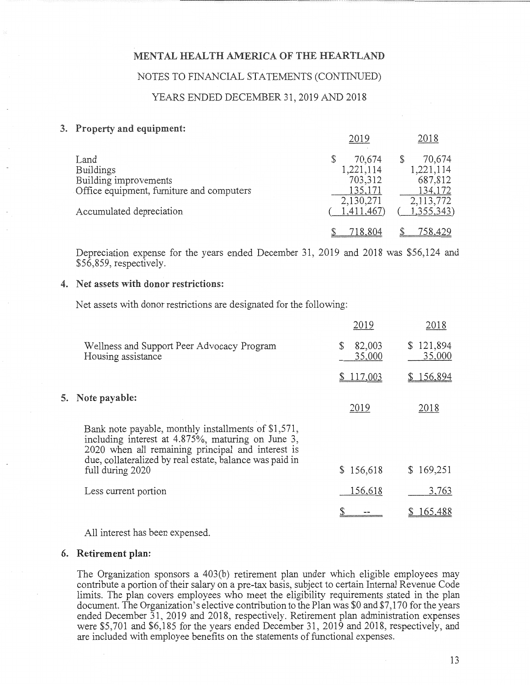### NOTES TO FINANCIAL STATEMENTS (CONTINUED)

### YEARS ENDED DECEMBER 31, 2019 AND 2018

#### 3. Property and equipment:

|                                           | 2019       | 2018       |
|-------------------------------------------|------------|------------|
| Land                                      | 70,674     | 70,674     |
| Buildings                                 | 1,221,114  | 1,221,114  |
| Building improvements                     | 703,312    | 687,812    |
| Office equipment, furniture and computers | 135,171    | 134,172    |
|                                           | 2,130,271  | 2,113,772  |
| Accumulated depreciation                  | 1,411,467) | 1,355,343) |
|                                           | 718,804    | 758,429    |

Depreciation expense for the years ended December 31, 2019 and 2018 was \$56,124 and \$56,859, respectively.

#### 4. Net assets with donor restrictions:

Net assets with donor restrictions are designated for the following:

|                                                                                                                                                                                                                                              | 2019                   | 2018                |
|----------------------------------------------------------------------------------------------------------------------------------------------------------------------------------------------------------------------------------------------|------------------------|---------------------|
| Wellness and Support Peer Advocacy Program<br>Housing assistance                                                                                                                                                                             | 82,003<br>\$<br>35,000 | \$121,894<br>35,000 |
|                                                                                                                                                                                                                                              | 117,003                | 156,894             |
| 5. Note payable:                                                                                                                                                                                                                             | 2019                   | 2018                |
| Bank note payable, monthly installments of \$1,571,<br>including interest at 4.875%, maturing on June 3,<br>2020 when all remaining principal and interest is<br>due, collateralized by real estate, balance was paid in<br>full during 2020 | \$156,618              | \$169,251           |
| Less current portion                                                                                                                                                                                                                         | 156,618                | 3,763               |
|                                                                                                                                                                                                                                              |                        | 65.488              |

All interest has been expensed.

#### **6. Retirement plan:**

The Organization sponsors a 403(b) retirement plan under which eligible employees may contribute a portion of their salary on a pre-tax basis, subject to certain Internal Revenue Code limits. The plan covers employees who meet the eligibility requirements stated in the plan document. The Organization's elective contribution to the Plan was \$0 and \$7,170 for the years ended December 31, 2019 and 2018, respectively. Retirement plan administration expenses were \$5,701 and \$6,185 for the years ended December 31, 2019 and 2018, respectively, and are included with employee benefits on the statements of functional expenses.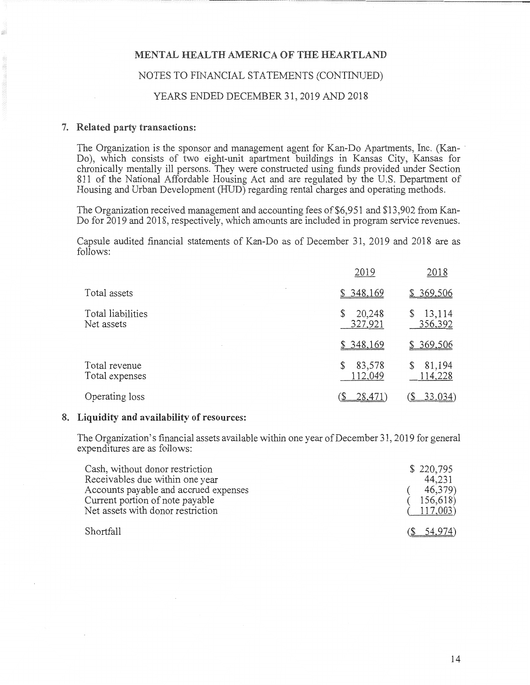#### NOTES TO FINANCIAL STATEMENTS (CONTINUED)

#### YEARS ENDED DECEMBER 31, 2019 AND 2018

#### 7. Related party transactions:

J.

The Organization is the sponsor and management agent for Kan-Do Apartments, Inc. (Kan-Do), which consists of two eight-unit apartment buildings in Kansas City, Kansas for chronically mentally ill persons. They were constructed using funds provided under Section 811 of the National Affordable Housing Act and are regulated by the U.S. Department of Housing and Urban Development (HUD) regarding rental charges and operating methods.

The Organization received management and accounting fees of \$6,951 and \$13,902 from Kan-Do for 2019 and 2018, respectively, which amounts are included in program service revenues.

Capsule audited financial statements of Kan-Do as of December 31, 2019 and 2018 are as follows:

|                                 | 2019                    | 2018                    |
|---------------------------------|-------------------------|-------------------------|
| Total assets                    | \$348,169               | \$369,506               |
| Total liabilities<br>Net assets | 20,248<br>S<br>327,921  | 13,114<br>\$<br>356,392 |
|                                 | \$348,169               | \$369,506               |
| Total revenue<br>Total expenses | 83,578<br>\$<br>112,049 | 81,194<br>\$<br>114,228 |
| Operating loss                  | 28,471)                 | 33,034)                 |

#### 8. Liquidity and availability of resources:

The Organization's financial assets available within one year of December 31, 2019 for general expenditures are as follows:

| Cash, without donor restriction       | \$220,795       |
|---------------------------------------|-----------------|
| Receivables due within one year       | 44,231          |
| Accounts payable and accrued expenses | 46,379)         |
| Current portion of note payable       | 156,618)        |
| Net assets with donor restriction     | (117,003)       |
| Shortfall                             | $(S \t 54.974)$ |